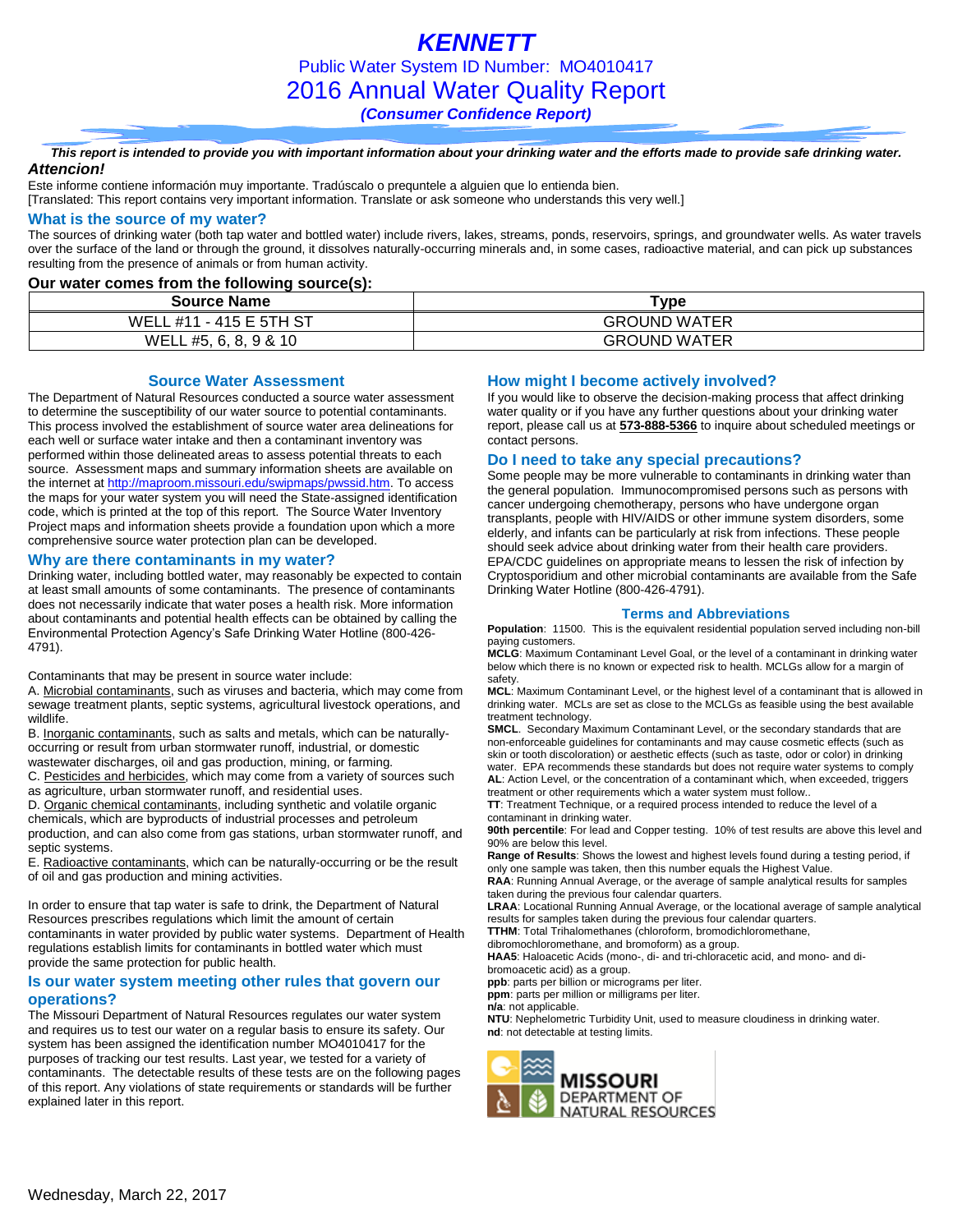*KENNETT* Public Water System ID Number: MO4010417 2016 Annual Water Quality Report *(Consumer Confidence Report)*

#### *This report is intended to provide you with important information about your drinking water and the efforts made to provide safe drinking water. Attencion!*

Este informe contiene información muy importante. Tradúscalo o prequntele a alguien que lo entienda bien.

[Translated: This report contains very important information. Translate or ask someone who understands this very well.]

### **What is the source of my water?**

The sources of drinking water (both tap water and bottled water) include rivers, lakes, streams, ponds, reservoirs, springs, and groundwater wells. As water travels over the surface of the land or through the ground, it dissolves naturally-occurring minerals and, in some cases, radioactive material, and can pick up substances resulting from the presence of animals or from human activity.

### **Our water comes from the following source(s):**

| <b>Source Name</b>          | <b>Type</b>         |
|-----------------------------|---------------------|
| $-415E5THST$<br>WELL<br>#11 | <b>GROUND WATER</b> |
| WELL #5, 6, 8, 9 & 10       | <b>GROUND WATER</b> |

**Source Water Assessment**

The Department of Natural Resources conducted a source water assessment to determine the susceptibility of our water source to potential contaminants. This process involved the establishment of source water area delineations for each well or surface water intake and then a contaminant inventory was performed within those delineated areas to assess potential threats to each source. Assessment maps and summary information sheets are available on the internet a[t http://maproom.missouri.edu/swipmaps/pwssid.htm.](http://maproom.missouri.edu/swipmaps/pwssid.htm) To access the maps for your water system you will need the State-assigned identification code, which is printed at the top of this report. The Source Water Inventory Project maps and information sheets provide a foundation upon which a more comprehensive source water protection plan can be developed.

### **Why are there contaminants in my water?**

Drinking water, including bottled water, may reasonably be expected to contain at least small amounts of some contaminants. The presence of contaminants does not necessarily indicate that water poses a health risk. More information about contaminants and potential health effects can be obtained by calling the Environmental Protection Agency's Safe Drinking Water Hotline (800-426- 4791).

Contaminants that may be present in source water include:

A. Microbial contaminants, such as viruses and bacteria, which may come from sewage treatment plants, septic systems, agricultural livestock operations, and wildlife.

B. Inorganic contaminants, such as salts and metals, which can be naturallyoccurring or result from urban stormwater runoff, industrial, or domestic wastewater discharges, oil and gas production, mining, or farming.

C. Pesticides and herbicides, which may come from a variety of sources such as agriculture, urban stormwater runoff, and residential uses.

D. Organic chemical contaminants, including synthetic and volatile organic chemicals, which are byproducts of industrial processes and petroleum production, and can also come from gas stations, urban stormwater runoff, and septic systems.

E. Radioactive contaminants, which can be naturally-occurring or be the result of oil and gas production and mining activities.

In order to ensure that tap water is safe to drink, the Department of Natural Resources prescribes regulations which limit the amount of certain contaminants in water provided by public water systems. Department of Health regulations establish limits for contaminants in bottled water which must provide the same protection for public health.

### **Is our water system meeting other rules that govern our operations?**

The Missouri Department of Natural Resources regulates our water system and requires us to test our water on a regular basis to ensure its safety. Our system has been assigned the identification number MO4010417 for the purposes of tracking our test results. Last year, we tested for a variety of contaminants. The detectable results of these tests are on the following pages of this report. Any violations of state requirements or standards will be further explained later in this report.

### **How might I become actively involved?**

If you would like to observe the decision-making process that affect drinking water quality or if you have any further questions about your drinking water report, please call us at **573-888-5366** to inquire about scheduled meetings or contact persons.

### **Do I need to take any special precautions?**

Some people may be more vulnerable to contaminants in drinking water than the general population. Immunocompromised persons such as persons with cancer undergoing chemotherapy, persons who have undergone organ transplants, people with HIV/AIDS or other immune system disorders, some elderly, and infants can be particularly at risk from infections. These people should seek advice about drinking water from their health care providers. EPA/CDC guidelines on appropriate means to lessen the risk of infection by Cryptosporidium and other microbial contaminants are available from the Safe Drinking Water Hotline (800-426-4791).

#### **Terms and Abbreviations**

**Population**: 11500. This is the equivalent residential population served including non-bill paying customers.

**MCLG**: Maximum Contaminant Level Goal, or the level of a contaminant in drinking water below which there is no known or expected risk to health. MCLGs allow for a margin of safety.

**MCL**: Maximum Contaminant Level, or the highest level of a contaminant that is allowed in drinking water. MCLs are set as close to the MCLGs as feasible using the best available treatment technology.

**SMCL**. Secondary Maximum Contaminant Level, or the secondary standards that are non-enforceable guidelines for contaminants and may cause cosmetic effects (such as skin or tooth discoloration) or aesthetic effects (such as taste, odor or color) in drinking water. EPA recommends these standards but does not require water systems to comply **AL**: Action Level, or the concentration of a contaminant which, when exceeded, triggers treatment or other requirements which a water system must follow..

**TT**: Treatment Technique, or a required process intended to reduce the level of a contaminant in drinking water.

**90th percentile**: For lead and Copper testing. 10% of test results are above this level and 90% are below this level.

**Range of Results**: Shows the lowest and highest levels found during a testing period, if only one sample was taken, then this number equals the Highest Value.

**RAA**: Running Annual Average, or the average of sample analytical results for samples taken during the previous four calendar quarters.

**LRAA**: Locational Running Annual Average, or the locational average of sample analytical results for samples taken during the previous four calendar quarters.

**TTHM**: Total Trihalomethanes (chloroform, bromodichloromethane,

dibromochloromethane, and bromoform) as a group.

**HAA5**: Haloacetic Acids (mono-, di- and tri-chloracetic acid, and mono- and dibromoacetic acid) as a group.

**ppb**: parts per billion or micrograms per liter.

**ppm**: parts per million or milligrams per liter.

**n/a**: not applicable.

**NTU**: Nephelometric Turbidity Unit, used to measure cloudiness in drinking water. **nd**: not detectable at testing limits.

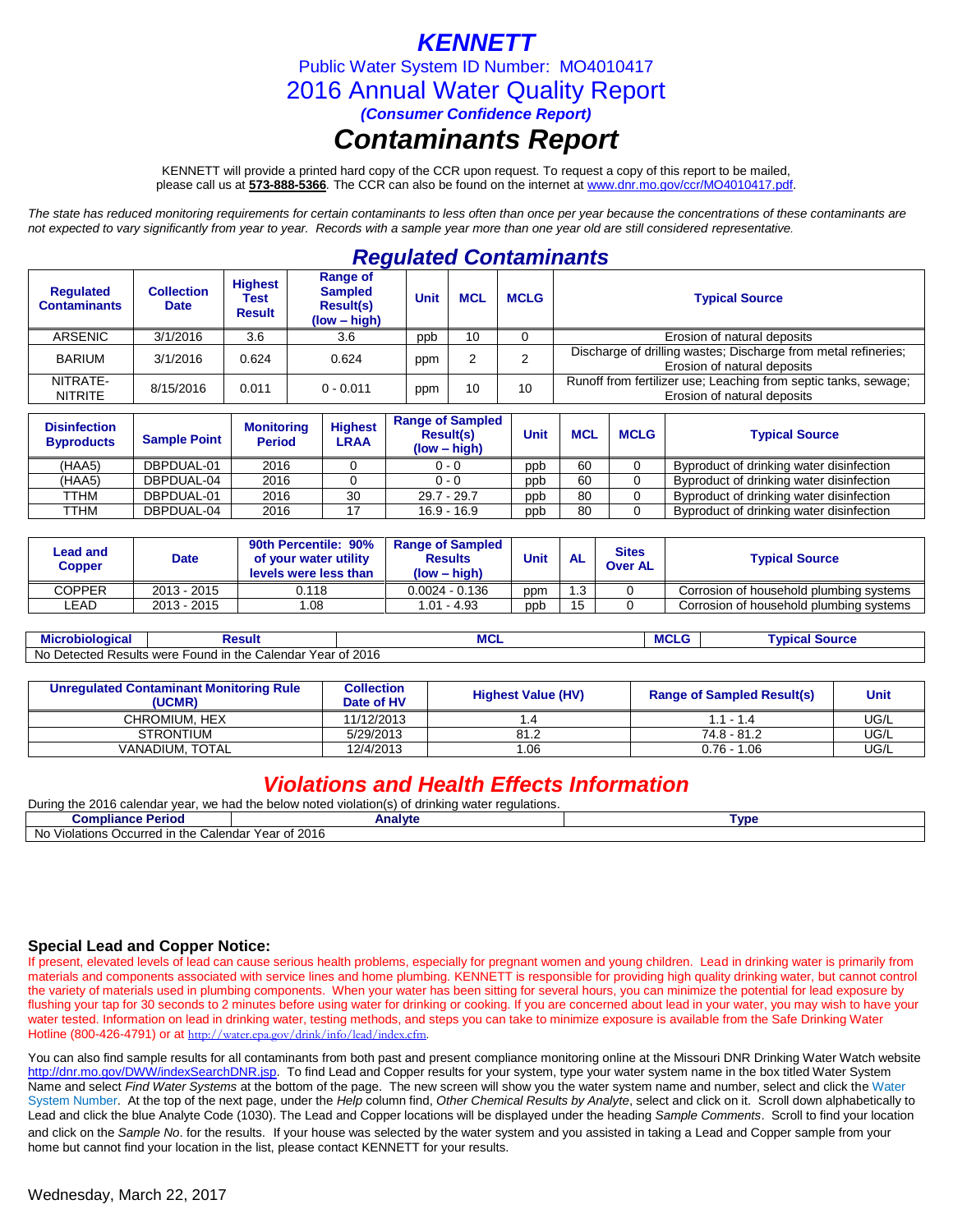## *KENNETT*

Public Water System ID Number: MO4010417

2016 Annual Water Quality Report

*(Consumer Confidence Report)*

# *Contaminants Report*

KENNETT will provide a printed hard copy of the CCR upon request. To request a copy of this report to be mailed, please call us at **573-888-5366***.* The CCR can also be found on the internet at www.dnr.mo.gov/ccr/MO4010417.pdf.

*The state has reduced monitoring requirements for certain contaminants to less often than once per year because the concentrations of these contaminants are not expected to vary significantly from year to year. Records with a sample year more than one year old are still considered representative.*

## *Regulated Contaminants*

| <b>Regulated</b><br><b>Contaminants</b> | <b>Collection</b><br><b>Date</b> | <b>Highest</b><br>Test<br><b>Result</b> | <b>Range of</b><br><b>Sampled</b><br><b>Result(s)</b><br>$(low - high)$ | Unit | <b>MCL</b> | <b>MCLG</b> | <b>Typical Source</b>                                                                          |
|-----------------------------------------|----------------------------------|-----------------------------------------|-------------------------------------------------------------------------|------|------------|-------------|------------------------------------------------------------------------------------------------|
| ARSENIC                                 | 3/1/2016                         | 3.6                                     | 3.6                                                                     | ppp  | 10         |             | Erosion of natural deposits                                                                    |
| <b>BARIUM</b>                           | 3/1/2016                         | 0.624                                   | 0.624                                                                   | ppm  |            |             | Discharge of drilling wastes; Discharge from metal refineries;<br>Erosion of natural deposits  |
| NITRATE-<br><b>NITRITE</b>              | 8/15/2016                        | 0.011                                   | $0 - 0.011$                                                             | ppm  | 10         | 10          | Runoff from fertilizer use; Leaching from septic tanks, sewage;<br>Erosion of natural deposits |

| <b>Disinfection</b><br><b>Byproducts</b> | <b>Sample Point</b> | <b>Monitoring</b><br><b>Period</b> | <b>Highest</b><br>∟RAA | <b>Range of Sampled</b><br><b>Result(s)</b><br>$(low - high)$ | Unit | <b>MCL</b> | <b>MCLG</b> | <b>Typical Source</b>                    |
|------------------------------------------|---------------------|------------------------------------|------------------------|---------------------------------------------------------------|------|------------|-------------|------------------------------------------|
| (HAA5)                                   | DBPDUAL-01          | 2016                               |                        | $0 - 0$                                                       | ppb  | 60         |             | Byproduct of drinking water disinfection |
| (HAA5)                                   | DBPDUAL-04          | 2016                               |                        | $0 - 0$                                                       | ppb  | 60         |             | Byproduct of drinking water disinfection |
| TTHM                                     | DBPDUAL-01          | 2016                               | 30                     | $29.7 - 29.7$                                                 | ppb  | 80         |             | Byproduct of drinking water disinfection |
| TTHM                                     | DBPDUAL-04          | 2016                               |                        | $16.9 - 16.9$                                                 | ppb  | 80         |             | Byproduct of drinking water disinfection |

| Lead and<br><b>Copper</b> | Date        | 90th Percentile: 90%<br>of your water utility<br>levels were less than | <b>Range of Sampled</b><br><b>Results</b><br>(low – high) | Unit<br><b>AL</b> |    | <b>Sites</b><br><b>Over AL</b> | <b>Typical Source</b>                   |  |
|---------------------------|-------------|------------------------------------------------------------------------|-----------------------------------------------------------|-------------------|----|--------------------------------|-----------------------------------------|--|
| <b>COPPER</b>             | 2013 - 2015 | 0.118                                                                  | $0.0024 - 0.136$                                          | ppm               | .3 |                                | Corrosion of household plumbing systems |  |
| ∟EAD                      | 2013 - 2015 | .08                                                                    | $1.01 - 4.93$                                             | ppb               | 15 |                                | Corrosion of household plumbing systems |  |
|                           |             |                                                                        |                                                           |                   |    |                                |                                         |  |

**Microbiological Result MCL MCLG Typical Source** No Detected Results were Found in the Calendar Year of 2016

| Unregulated Contaminant Monitoring Rule<br>'UCMR) | <b>Collection</b><br>Date of HV | <b>Highest Value (HV)</b> | <b>Range of Sampled Result(s)</b> | <b>Unit</b> |
|---------------------------------------------------|---------------------------------|---------------------------|-----------------------------------|-------------|
| CHROMIUM. HEX                                     | 11/12/2013                      |                           | $1.1 - 1.4$                       | UG/L        |
| <b>STRONTIUM</b>                                  | 5/29/2013                       | 81.2                      | 74.8 - 81.2                       | UG/L        |
| <b>VANADIUM. TOTAL</b>                            | 12/4/2013                       | .06                       | $0.76 - 1.06$                     | UG/L        |

### *Violations and Health Effects Information*

| Durina<br>2016<br>the<br>. we had the below noted <b>\</b><br>calendar vear د<br>s water regulations.<br>drinkina<br>ੋ <sup>⊿</sup> violation(s) ਹ,<br>ZU I |         |             |  |  |  |  |  |
|-------------------------------------------------------------------------------------------------------------------------------------------------------------|---------|-------------|--|--|--|--|--|
| <b>Compliance Period</b>                                                                                                                                    | Analyte | <b>Tvpe</b> |  |  |  |  |  |
| No<br>Year of 2016<br>Occurred in the<br>: Calendar<br>olations<br>/ıc                                                                                      |         |             |  |  |  |  |  |

### **Special Lead and Copper Notice:**

If present, elevated levels of lead can cause serious health problems, especially for pregnant women and young children. Lead in drinking water is primarily from materials and components associated with service lines and home plumbing. KENNETT is responsible for providing high quality drinking water, but cannot control the variety of materials used in plumbing components. When your water has been sitting for several hours, you can minimize the potential for lead exposure by flushing your tap for 30 seconds to 2 minutes before using water for drinking or cooking. If you are concerned about lead in your water, you may wish to have your water tested. Information on lead in drinking water, testing methods, and steps you can take to minimize exposure is available from the Safe Drinking Water Hotline (800-426-4791) or at http://water.epa.gov/drink/info/lead/index.cfm

You can also find sample results for all contaminants from both past and present compliance monitoring online at the Missouri DNR Drinking Water Watch website [http://dnr.mo.gov/DWW/indexSearchDNR.jsp.](http://dnr.mo.gov/DWW/indexSearchDNR.jsp) To find Lead and Copper results for your system, type your water system name in the box titled Water System Name and select *Find Water Systems* at the bottom of the page. The new screen will show you the water system name and number, select and click the Water System Number. At the top of the next page, under the *Help* column find, *Other Chemical Results by Analyte*, select and click on it. Scroll down alphabetically to Lead and click the blue Analyte Code (1030). The Lead and Copper locations will be displayed under the heading *Sample Comments*. Scroll to find your location and click on the *Sample No*. for the results. If your house was selected by the water system and you assisted in taking a Lead and Copper sample from your home but cannot find your location in the list, please contact KENNETT for your results.